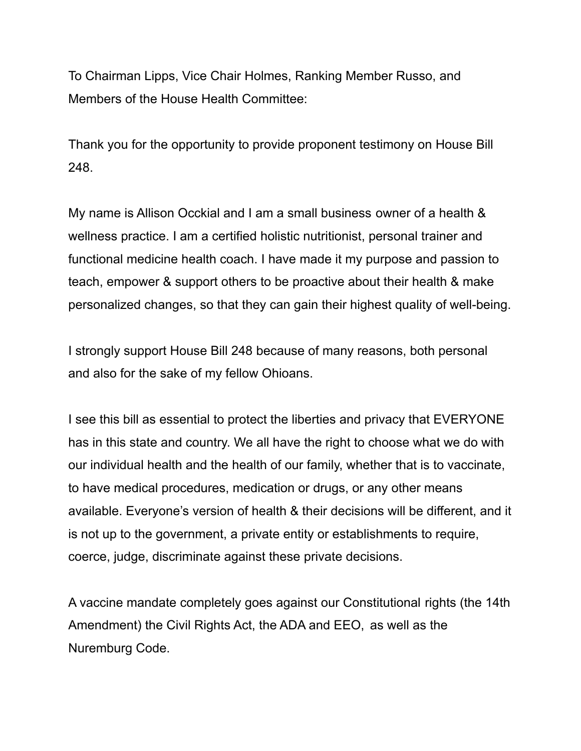To Chairman Lipps, Vice Chair Holmes, Ranking Member Russo, and Members of the House Health Committee:

Thank you for the opportunity to provide proponent testimony on House Bill 248.

My name is Allison Occkial and I am a small business owner of a health & wellness practice. I am a certified holistic nutritionist, personal trainer and functional medicine health coach. I have made it my purpose and passion to teach, empower & support others to be proactive about their health & make personalized changes, so that they can gain their highest quality of well-being.

I strongly support House Bill 248 because of many reasons, both personal and also for the sake of my fellow Ohioans.

I see this bill as essential to protect the liberties and privacy that EVERYONE has in this state and country. We all have the right to choose what we do with our individual health and the health of our family, whether that is to vaccinate, to have medical procedures, medication or drugs, or any other means available. Everyone's version of health & their decisions will be different, and it is not up to the government, a private entity or establishments to require, coerce, judge, discriminate against these private decisions.

A vaccine mandate completely goes against our Constitutional rights (the 14th Amendment) the Civil Rights Act, the ADA and EEO, as well as the Nuremburg Code.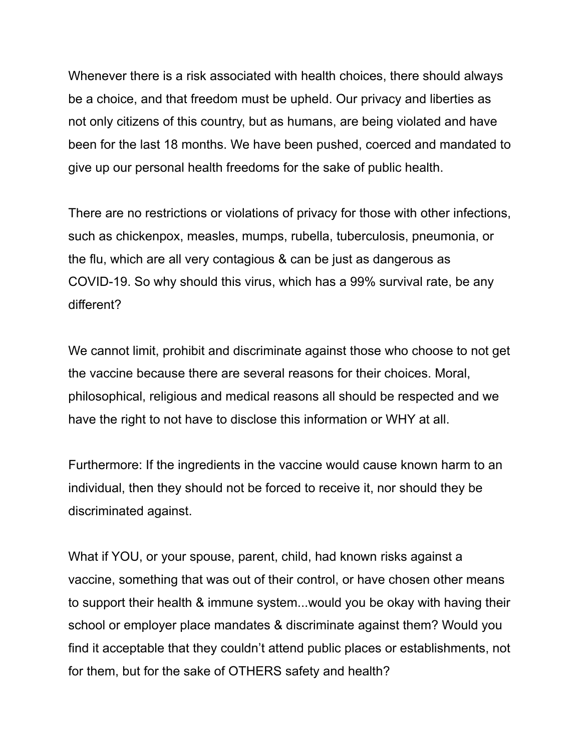Whenever there is a risk associated with health choices, there should always be a choice, and that freedom must be upheld. Our privacy and liberties as not only citizens of this country, but as humans, are being violated and have been for the last 18 months. We have been pushed, coerced and mandated to give up our personal health freedoms for the sake of public health.

There are no restrictions or violations of privacy for those with other infections, such as chickenpox, measles, mumps, rubella, tuberculosis, pneumonia, or the flu, which are all very contagious & can be just as dangerous as COVID-19. So why should this virus, which has a 99% survival rate, be any different?

We cannot limit, prohibit and discriminate against those who choose to not get the vaccine because there are several reasons for their choices. Moral, philosophical, religious and medical reasons all should be respected and we have the right to not have to disclose this information or WHY at all.

Furthermore: If the ingredients in the vaccine would cause known harm to an individual, then they should not be forced to receive it, nor should they be discriminated against.

What if YOU, or your spouse, parent, child, had known risks against a vaccine, something that was out of their control, or have chosen other means to support their health & immune system...would you be okay with having their school or employer place mandates & discriminate against them? Would you find it acceptable that they couldn't attend public places or establishments, not for them, but for the sake of OTHERS safety and health?